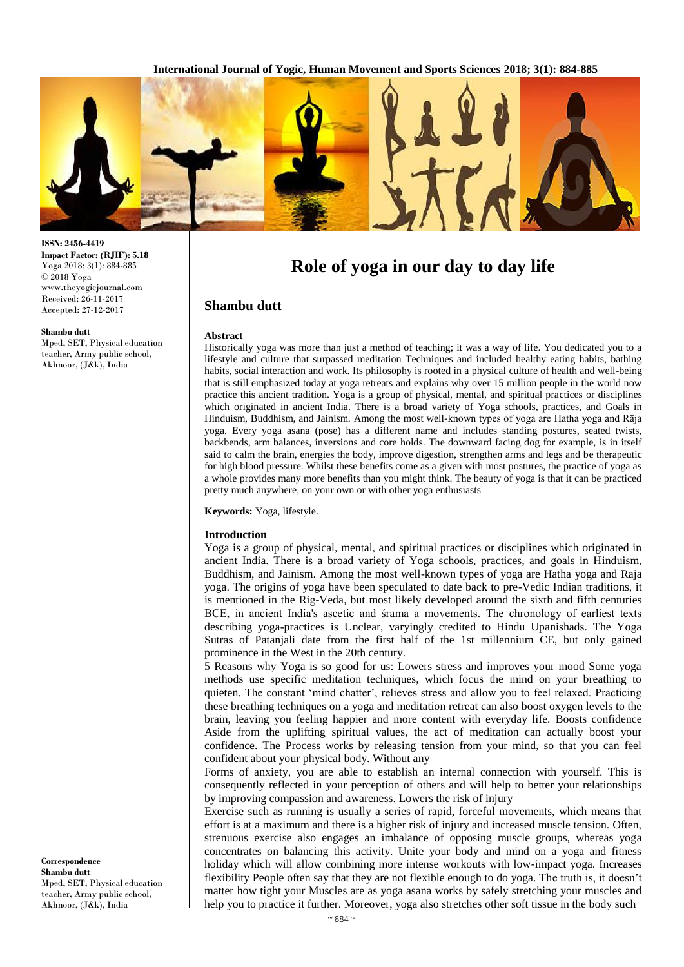

**ISSN: 2456-4419 Impact Factor: (RJIF): 5.18** Yoga 2018; 3(1): 884-885 © 2018 Yoga www.theyogicjournal.com Received: 26-11-2017 Accepted: 27-12-2017

#### **Shambu dutt**

Mped, SET, Physical education teacher, Army public school, Akhnoor, (J&k), India

**Role of yoga in our day to day life**

# **Shambu dutt**

### **Abstract**

Historically yoga was more than just a method of teaching; it was a way of life. You dedicated you to a lifestyle and culture that surpassed meditation Techniques and included healthy eating habits, bathing habits, social interaction and work. Its philosophy is rooted in a physical culture of health and well-being that is still emphasized today at yoga retreats and explains why over 15 million people in the world now practice this ancient tradition. Yoga is a group of physical, mental, and spiritual practices or disciplines which originated in ancient India. There is a broad variety of Yoga schools, practices, and Goals in Hinduism, Buddhism, and Jainism. Among the most well-known types of yoga are Hatha yoga and Rāja yoga. Every yoga asana (pose) has a different name and includes standing postures, seated twists, backbends, arm balances, inversions and core holds. The downward facing dog for example, is in itself said to calm the brain, energies the body, improve digestion, strengthen arms and legs and be therapeutic for high blood pressure. Whilst these benefits come as a given with most postures, the practice of yoga as a whole provides many more benefits than you might think. The beauty of yoga is that it can be practiced pretty much anywhere, on your own or with other yoga enthusiasts

**Keywords:** Yoga, lifestyle.

### **Introduction**

Yoga is a group of physical, mental, and spiritual practices or disciplines which originated in ancient India. There is a broad variety of Yoga schools, practices, and goals in Hinduism, Buddhism, and Jainism. Among the most well-known types of yoga are Hatha yoga and Raja yoga. The origins of yoga have been speculated to date back to pre-Vedic Indian traditions, it is mentioned in the Rig-Veda, but most likely developed around the sixth and fifth centuries BCE, in ancient India's ascetic and śrama a movements. The chronology of earliest texts describing yoga-practices is Unclear, varyingly credited to Hindu Upanishads. The Yoga Sutras of Patanjali date from the first half of the 1st millennium CE, but only gained prominence in the West in the 20th century.

5 Reasons why Yoga is so good for us: Lowers stress and improves your mood Some yoga methods use specific meditation techniques, which focus the mind on your breathing to quieten. The constant 'mind chatter', relieves stress and allow you to feel relaxed. Practicing these breathing techniques on a yoga and meditation retreat can also boost oxygen levels to the brain, leaving you feeling happier and more content with everyday life. Boosts confidence Aside from the uplifting spiritual values, the act of meditation can actually boost your confidence. The Process works by releasing tension from your mind, so that you can feel confident about your physical body. Without any

Forms of anxiety, you are able to establish an internal connection with yourself. This is consequently reflected in your perception of others and will help to better your relationships by improving compassion and awareness. Lowers the risk of injury

Exercise such as running is usually a series of rapid, forceful movements, which means that effort is at a maximum and there is a higher risk of injury and increased muscle tension. Often, strenuous exercise also engages an imbalance of opposing muscle groups, whereas yoga concentrates on balancing this activity. Unite your body and mind on a yoga and fitness holiday which will allow combining more intense workouts with low-impact yoga. Increases flexibility People often say that they are not flexible enough to do yoga. The truth is, it doesn't matter how tight your Muscles are as yoga asana works by safely stretching your muscles and help you to practice it further. Moreover, yoga also stretches other soft tissue in the body such

**Correspondence Shambu dutt** Mped, SET, Physical education teacher, Army public school, Akhnoor, (J&k), India